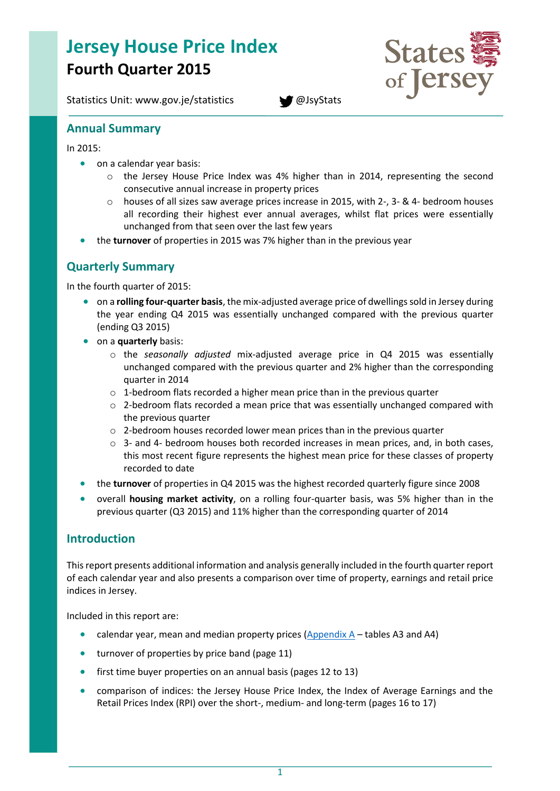# **Jersey House Price Index Fourth Quarter 2015**

Statistics Unit: www.gov.je/statistics **[@JsyStats](http://www.twitter.com/JsyStats)** 



### **Annual Summary**

In 2015:

- on a calendar year basis:
	- o the Jersey House Price Index was 4% higher than in 2014, representing the second consecutive annual increase in property prices
	- $\circ$  houses of all sizes saw average prices increase in 2015, with 2-, 3- & 4- bedroom houses all recording their highest ever annual averages, whilst flat prices were essentially unchanged from that seen over the last few years
- the **turnover** of properties in 2015 was 7% higher than in the previous year

# **Quarterly Summary**

In the fourth quarter of 2015:

- on a **rolling four-quarter basis**, the mix-adjusted average price of dwellings sold in Jersey during the year ending Q4 2015 was essentially unchanged compared with the previous quarter (ending Q3 2015)
- on a **quarterly** basis:
	- o the *seasonally adjusted* mix-adjusted average price in Q4 2015 was essentially unchanged compared with the previous quarter and 2% higher than the corresponding quarter in 2014
	- $\circ$  1-bedroom flats recorded a higher mean price than in the previous quarter
	- $\circ$  2-bedroom flats recorded a mean price that was essentially unchanged compared with the previous quarter
	- o 2-bedroom houses recorded lower mean prices than in the previous quarter
	- o 3- and 4- bedroom houses both recorded increases in mean prices, and, in both cases, this most recent figure represents the highest mean price for these classes of property recorded to date
- the **turnover** of properties in Q4 2015 was the highest recorded quarterly figure since 2008
- overall **housing market activity**, on a rolling four-quarter basis, was 5% higher than in the previous quarter (Q3 2015) and 11% higher than the corresponding quarter of 2014

### **Introduction**

This report presents additional information and analysis generally included in the fourth quarter report of each calendar year and also presents a comparison over time of property, earnings and retail price indices in Jersey.

Included in this report are:

- calendar year, mean and median property prices  $(Appendix A tables A3$  $(Appendix A tables A3$  and A4)
- turnover of properties by price band (page 11)
- first time buyer properties on an annual basis (pages 12 to 13)
- comparison of indices: the Jersey House Price Index, the Index of Average Earnings and the Retail Prices Index (RPI) over the short-, medium- and long-term (pages 16 to 17)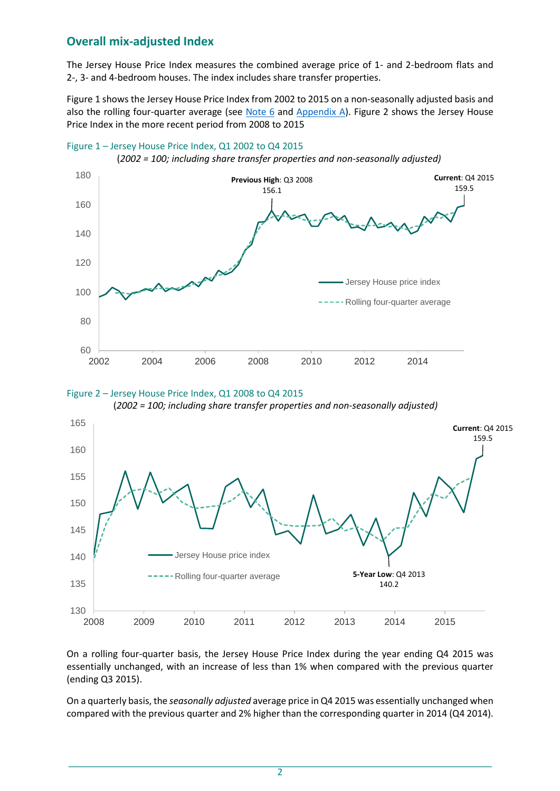# **Overall mix-adjusted Index**

The Jersey House Price Index measures the combined average price of 1- and 2-bedroom flats and 2-, 3- and 4-bedroom houses. The index includes share transfer properties.

Figure 1 shows the Jersey House Price Index from 2002 to 2015 on a non-seasonally adjusted basis and also the rolling four-quarter average (see Note  $6$  and [Appendix A\)](#page-19-0). Figure 2 shows the Jersey House Price Index in the more recent period from 2008 to 2015



Figure 1 – Jersey House Price Index, Q1 2002 to Q4 2015





(*2002 = 100; including share transfer properties and non-seasonally adjusted)*

On a rolling four-quarter basis, the Jersey House Price Index during the year ending Q4 2015 was essentially unchanged, with an increase of less than 1% when compared with the previous quarter (ending Q3 2015).

On a quarterly basis, the *seasonally adjusted* average price in Q4 2015 was essentially unchanged when compared with the previous quarter and 2% higher than the corresponding quarter in 2014 (Q4 2014).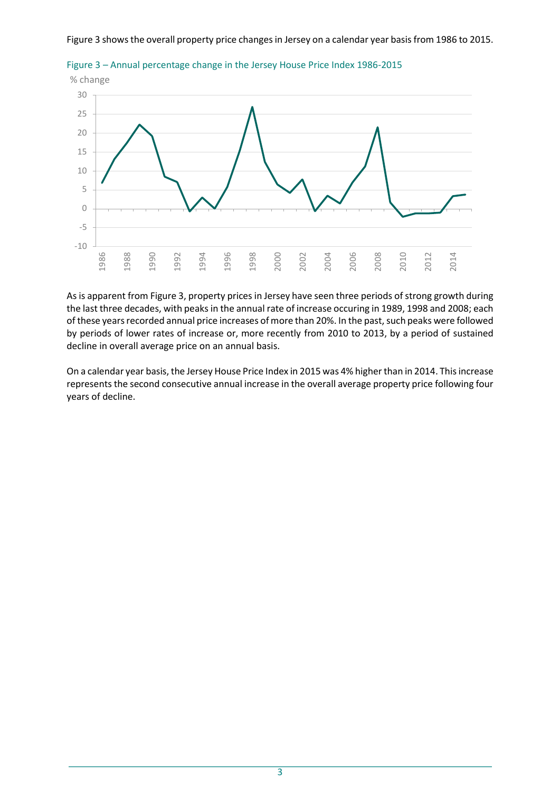Figure 3 shows the overall property price changes in Jersey on a calendar year basis from 1986 to 2015.



Figure 3 – Annual percentage change in the Jersey House Price Index 1986-2015

As is apparent from Figure 3, property prices in Jersey have seen three periods of strong growth during the last three decades, with peaks in the annual rate of increase occuring in 1989, 1998 and 2008; each of these years recorded annual price increases of more than 20%. In the past, such peaks were followed by periods of lower rates of increase or, more recently from 2010 to 2013, by a period of sustained decline in overall average price on an annual basis.

On a calendar year basis, the Jersey House Price Index in 2015 was 4% higher than in 2014. This increase represents the second consecutive annual increase in the overall average property price following four years of decline.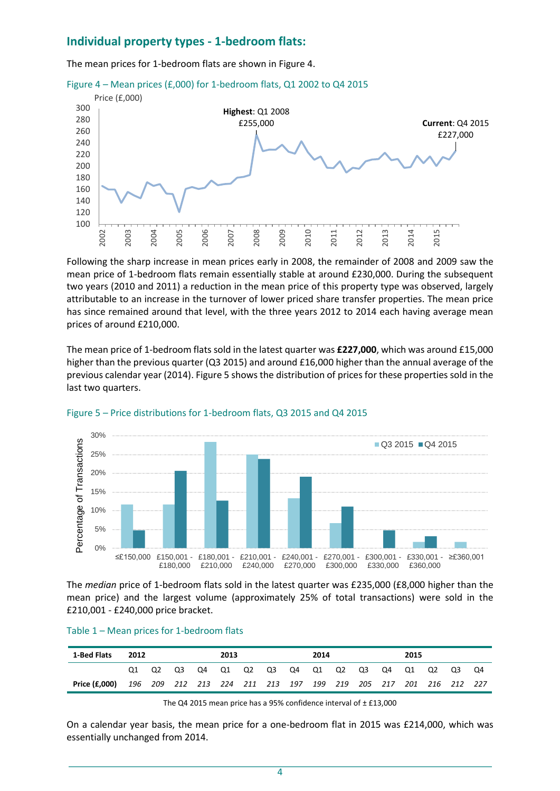# **Individual property types - 1-bedroom flats:**

The mean prices for 1-bedroom flats are shown in Figure 4.





Following the sharp increase in mean prices early in 2008, the remainder of 2008 and 2009 saw the mean price of 1-bedroom flats remain essentially stable at around £230,000. During the subsequent two years (2010 and 2011) a reduction in the mean price of this property type was observed, largely attributable to an increase in the turnover of lower priced share transfer properties. The mean price has since remained around that level, with the three years 2012 to 2014 each having average mean prices of around £210,000.

The mean price of 1-bedroom flats sold in the latest quarter was **£227,000**, which was around £15,000 higher than the previous quarter (Q3 2015) and around £16,000 higher than the annual average of the previous calendar year (2014). Figure 5 shows the distribution of prices for these properties sold in the last two quarters.



#### Figure 5 – Price distributions for 1-bedroom flats, Q3 2015 and Q4 2015

The *median* price of 1-bedroom flats sold in the latest quarter was £235,000 (£8,000 higher than the mean price) and the largest volume (approximately 25% of total transactions) were sold in the £210,001 - £240,000 price bracket.

#### Table 1 – Mean prices for 1-bedroom flats

| 1-Bed Flats   | 2012                                                            |                                              |  | 2013 |  |  |  | 2014 |  |  |  | 2015 |  |  |  |    |
|---------------|-----------------------------------------------------------------|----------------------------------------------|--|------|--|--|--|------|--|--|--|------|--|--|--|----|
|               |                                                                 | Q1 Q2 Q3 Q4 Q1 Q2 Q3 Q4 Q1 Q2 Q3 Q4 Q1 Q2 Q3 |  |      |  |  |  |      |  |  |  |      |  |  |  | O4 |
| Price (£.000) | 196 209 212 213 224 211 213 197 199 219 205 217 201 216 212 227 |                                              |  |      |  |  |  |      |  |  |  |      |  |  |  |    |

The Q4 2015 mean price has a 95% confidence interval of  $\pm$  £13,000

On a calendar year basis, the mean price for a one-bedroom flat in 2015 was £214,000, which was essentially unchanged from 2014.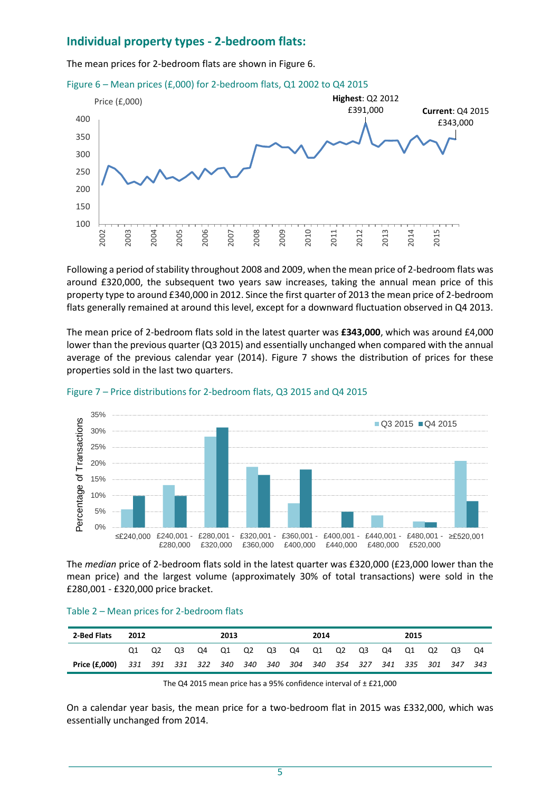### **Individual property types - 2-bedroom flats:**

The mean prices for 2-bedroom flats are shown in Figure 6.





Following a period of stability throughout 2008 and 2009, when the mean price of 2-bedroom flats was around £320,000, the subsequent two years saw increases, taking the annual mean price of this property type to around £340,000 in 2012. Since the first quarter of 2013 the mean price of 2-bedroom flats generally remained at around this level, except for a downward fluctuation observed in Q4 2013.

The mean price of 2-bedroom flats sold in the latest quarter was **£343,000**, which was around £4,000 lower than the previous quarter (Q3 2015) and essentially unchanged when compared with the annual average of the previous calendar year (2014). Figure 7 shows the distribution of prices for these properties sold in the last two quarters.



#### Figure 7 – Price distributions for 2-bedroom flats, Q3 2015 and Q4 2015

The *median* price of 2-bedroom flats sold in the latest quarter was £320,000 (£23,000 lower than the mean price) and the largest volume (approximately 30% of total transactions) were sold in the £280,001 - £320,000 price bracket.

| 2-Bed Flats   | 2012 |    |    |    | 2013 |    |    |    | 2014  |    | 2015        |                                                                 |    |
|---------------|------|----|----|----|------|----|----|----|-------|----|-------------|-----------------------------------------------------------------|----|
|               |      | Q2 | O3 | Q4 | Q1   | Q2 | Q3 | Q4 | Q1 Q2 | Q3 | Q4 Q1 Q2 Q3 |                                                                 | O4 |
| Price (£,000) |      |    |    |    |      |    |    |    |       |    |             | 331 391 331 322 340 340 340 304 340 354 327 341 335 301 347 343 |    |

#### Table 2 – Mean prices for 2-bedroom flats

The Q4 2015 mean price has a 95% confidence interval of  $\pm$  £21,000

On a calendar year basis, the mean price for a two-bedroom flat in 2015 was £332,000, which was essentially unchanged from 2014.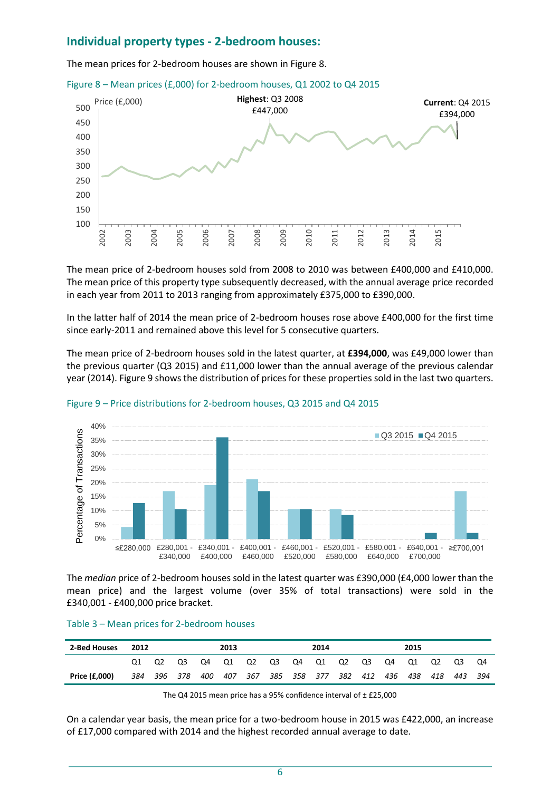### **Individual property types - 2-bedroom houses:**

The mean prices for 2-bedroom houses are shown in Figure 8.





The mean price of 2-bedroom houses sold from 2008 to 2010 was between £400,000 and £410,000. The mean price of this property type subsequently decreased, with the annual average price recorded in each year from 2011 to 2013 ranging from approximately £375,000 to £390,000.

In the latter half of 2014 the mean price of 2-bedroom houses rose above £400,000 for the first time since early-2011 and remained above this level for 5 consecutive quarters.

The mean price of 2-bedroom houses sold in the latest quarter, at **£394,000**, was £49,000 lower than the previous quarter (Q3 2015) and £11,000 lower than the annual average of the previous calendar year (2014). Figure 9 shows the distribution of prices for these properties sold in the last two quarters.



#### Figure 9 – Price distributions for 2-bedroom houses, Q3 2015 and Q4 2015

The *median* price of 2-bedroom houses sold in the latest quarter was £390,000 (£4,000 lower than the mean price) and the largest volume (over 35% of total transactions) were sold in the £340,001 - £400,000 price bracket.

#### Table 3 – Mean prices for 2-bedroom houses

| 2-Bed Houses  | 2012 |                |         |     | 2013 |  | 2014                            |  | 2015 |     |     |     |
|---------------|------|----------------|---------|-----|------|--|---------------------------------|--|------|-----|-----|-----|
|               |      | Q <sub>2</sub> | O3      | Q4  | Q1   |  | . Q2 Q3 Q4 Q1 Q2 Q3 Q4          |  | Q1   | Q2  | Q3  | Q4  |
| Price (£,000) | 384  |                | 396 378 | 400 |      |  | 407 367 385 358 377 382 412 436 |  | 438  | 418 | 443 | 394 |

The Q4 2015 mean price has a 95% confidence interval of ± £25,000

On a calendar year basis, the mean price for a two-bedroom house in 2015 was £422,000, an increase of £17,000 compared with 2014 and the highest recorded annual average to date.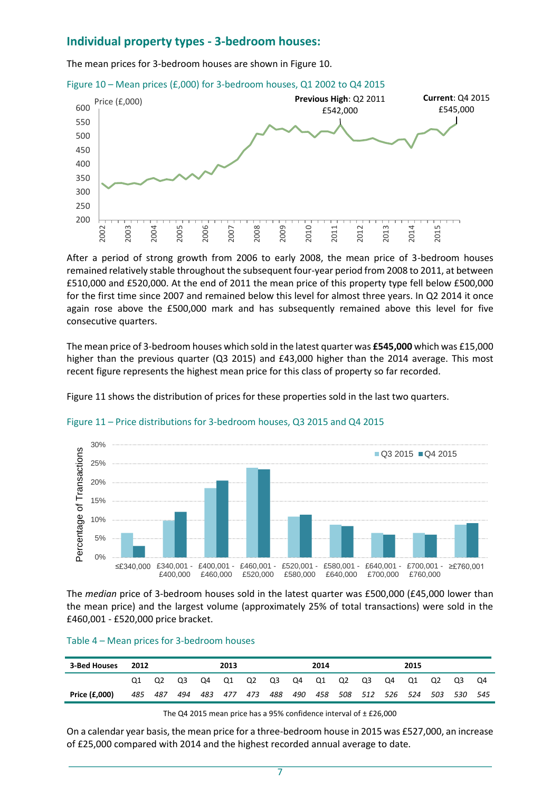### **Individual property types - 3-bedroom houses:**

The mean prices for 3-bedroom houses are shown in Figure 10.





After a period of strong growth from 2006 to early 2008, the mean price of 3-bedroom houses remained relatively stable throughout the subsequent four-year period from 2008 to 2011, at between £510,000 and £520,000. At the end of 2011 the mean price of this property type fell below £500,000 for the first time since 2007 and remained below this level for almost three years. In Q2 2014 it once again rose above the £500,000 mark and has subsequently remained above this level for five consecutive quarters.

The mean price of 3-bedroom houses which sold in the latest quarter was **£545,000** which was £15,000 higher than the previous quarter (Q3 2015) and £43,000 higher than the 2014 average. This most recent figure represents the highest mean price for this class of property so far recorded.

Figure 11 shows the distribution of prices for these properties sold in the last two quarters.



#### Figure 11 – Price distributions for 3-bedroom houses, Q3 2015 and Q4 2015

The *median* price of 3-bedroom houses sold in the latest quarter was £500,000 (£45,000 lower than the mean price) and the largest volume (approximately 25% of total transactions) were sold in the £460,001 - £520,000 price bracket.

#### Table 4 – Mean prices for 3-bedroom houses

| 3-Bed Houses  | 2012 |     | 2013 |    |    | 2014 |                         |     |  |  | 2015            |  |       |     |      |
|---------------|------|-----|------|----|----|------|-------------------------|-----|--|--|-----------------|--|-------|-----|------|
|               |      |     | O3   | Q4 | Q1 |      | Q2 Q3 Q4 Q1 Q2 Q3 Q4 Q1 |     |  |  |                 |  | Q2 Q3 |     | Q4   |
| Price (£,000) | 485  | 487 | 494  |    |    |      | 483 477 473 488 490     | 458 |  |  | 508 512 526 524 |  | 503   | 530 | -545 |

The Q4 2015 mean price has a 95% confidence interval of  $\pm$  £26,000

On a calendar year basis, the mean price for a three-bedroom house in 2015 was £527,000, an increase of £25,000 compared with 2014 and the highest recorded annual average to date.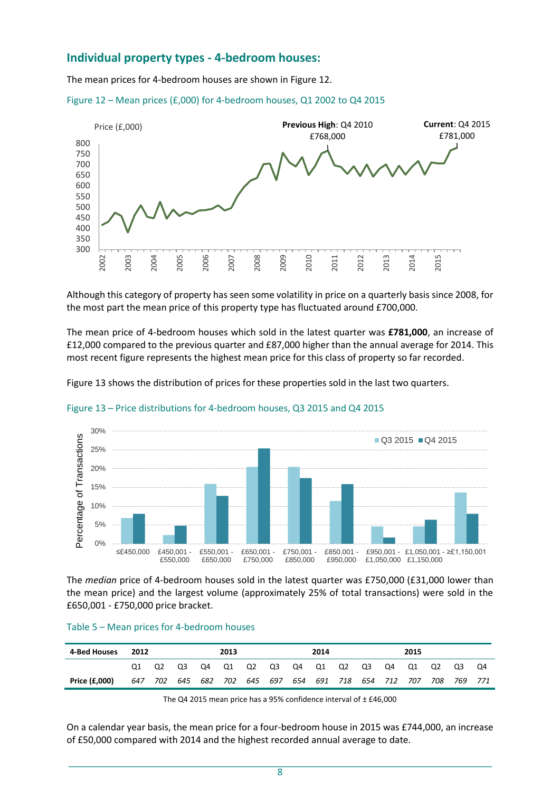### **Individual property types - 4-bedroom houses:**

The mean prices for 4-bedroom houses are shown in Figure 12.





Although this category of property has seen some volatility in price on a quarterly basis since 2008, for the most part the mean price of this property type has fluctuated around £700,000.

The mean price of 4-bedroom houses which sold in the latest quarter was **£781,000**, an increase of £12,000 compared to the previous quarter and £87,000 higher than the annual average for 2014. This most recent figure represents the highest mean price for this class of property so far recorded.

Figure 13 shows the distribution of prices for these properties sold in the last two quarters.



Figure 13 – Price distributions for 4-bedroom houses, Q3 2015 and Q4 2015

The *median* price of 4-bedroom houses sold in the latest quarter was £750,000 (£31,000 lower than the mean price) and the largest volume (approximately 25% of total transactions) were sold in the £650,001 - £750,000 price bracket.

| 4-Bed Houses  | 2012 |    |    | 2013 |                             | 2014 |         |         |    | 2015 |     |         |    |
|---------------|------|----|----|------|-----------------------------|------|---------|---------|----|------|-----|---------|----|
|               |      | O2 | O3 |      | Q4 Q1 Q2 Q3 Q4 Q1 Q2 Q3     |      |         |         | Q4 | Q1   | Q2  | Q3      | Q4 |
| Price (£,000) | 647  |    |    |      | 702 645 682 702 645 697 654 |      | 691 718 | 654 712 |    | 707  | 708 | 769 771 |    |

#### Table 5 – Mean prices for 4-bedroom houses

The Q4 2015 mean price has a 95% confidence interval of ± £46,000

On a calendar year basis, the mean price for a four-bedroom house in 2015 was £744,000, an increase of £50,000 compared with 2014 and the highest recorded annual average to date.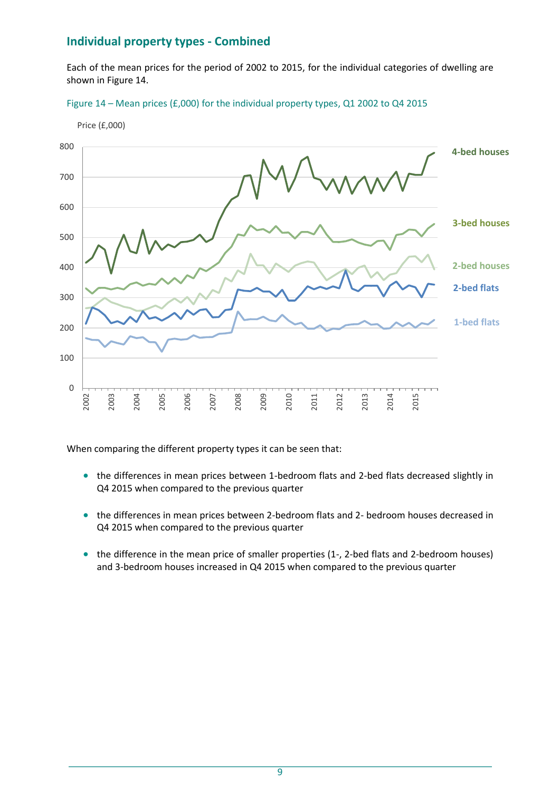# **Individual property types - Combined**

Each of the mean prices for the period of 2002 to 2015, for the individual categories of dwelling are shown in Figure 14.





When comparing the different property types it can be seen that:

- the differences in mean prices between 1-bedroom flats and 2-bed flats decreased slightly in Q4 2015 when compared to the previous quarter
- the differences in mean prices between 2-bedroom flats and 2- bedroom houses decreased in Q4 2015 when compared to the previous quarter
- the difference in the mean price of smaller properties (1-, 2-bed flats and 2-bedroom houses) and 3-bedroom houses increased in Q4 2015 when compared to the previous quarter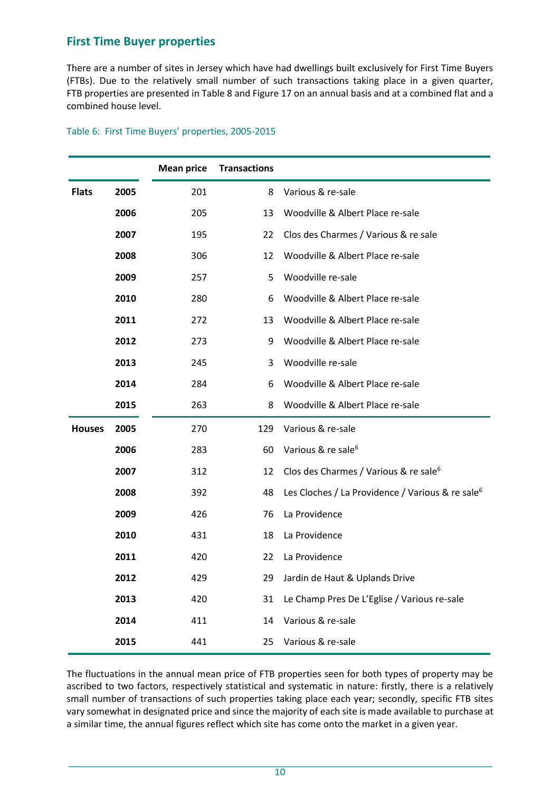# **First Time Buyer properties**

There are a number of sites in Jersey which have had dwellings built exclusively for First Time Buyers (FTBs). Due to the relatively small number of such transactions taking place in a given quarter, FTB properties are presented in Table 8 and Figure 17 on an annual basis and at a combined flat and a combined house level.

|               |      | <b>Mean price</b> | <b>Transactions</b> |                                                              |
|---------------|------|-------------------|---------------------|--------------------------------------------------------------|
| <b>Flats</b>  | 2005 | 201               | 8                   | Various & re-sale                                            |
|               | 2006 | 205               | 13                  | Woodville & Albert Place re-sale                             |
|               | 2007 | 195               | 22                  | Clos des Charmes / Various & re sale                         |
|               | 2008 | 306               | 12                  | Woodville & Albert Place re-sale                             |
|               | 2009 | 257               | 5                   | Woodville re-sale                                            |
|               | 2010 | 280               | 6                   | Woodville & Albert Place re-sale                             |
|               | 2011 | 272               | 13                  | Woodville & Albert Place re-sale                             |
|               | 2012 | 273               | 9                   | Woodville & Albert Place re-sale                             |
|               | 2013 | 245               | 3                   | Woodville re-sale                                            |
|               | 2014 | 284               | 6                   | Woodville & Albert Place re-sale                             |
|               | 2015 | 263               | 8                   | Woodville & Albert Place re-sale                             |
| <b>Houses</b> | 2005 | 270               | 129                 | Various & re-sale                                            |
|               | 2006 | 283               | 60                  | Various & re sale <sup>6</sup>                               |
|               | 2007 | 312               | 12                  | Clos des Charmes / Various & re sale <sup>6</sup>            |
|               | 2008 | 392               | 48                  | Les Cloches / La Providence / Various & re sale <sup>6</sup> |
|               | 2009 | 426               | 76                  | La Providence                                                |
|               | 2010 | 431               | 18                  | La Providence                                                |
|               | 2011 | 420               | 22                  | La Providence                                                |
|               | 2012 | 429               | 29                  | Jardin de Haut & Uplands Drive                               |
|               | 2013 | 420               | 31                  | Le Champ Pres De L'Eglise / Various re-sale                  |
|               | 2014 | 411               | 14                  | Various & re-sale                                            |
|               | 2015 | 441               | 25                  | Various & re-sale                                            |

#### Table 6: First Time Buyers' properties, 2005-2015

The fluctuations in the annual mean price of FTB properties seen for both types of property may be ascribed to two factors, respectively statistical and systematic in nature: firstly, there is a relatively small number of transactions of such properties taking place each year; secondly, specific FTB sites vary somewhat in designated price and since the majority of each site is made available to purchase at a similar time, the annual figures reflect which site has come onto the market in a given year.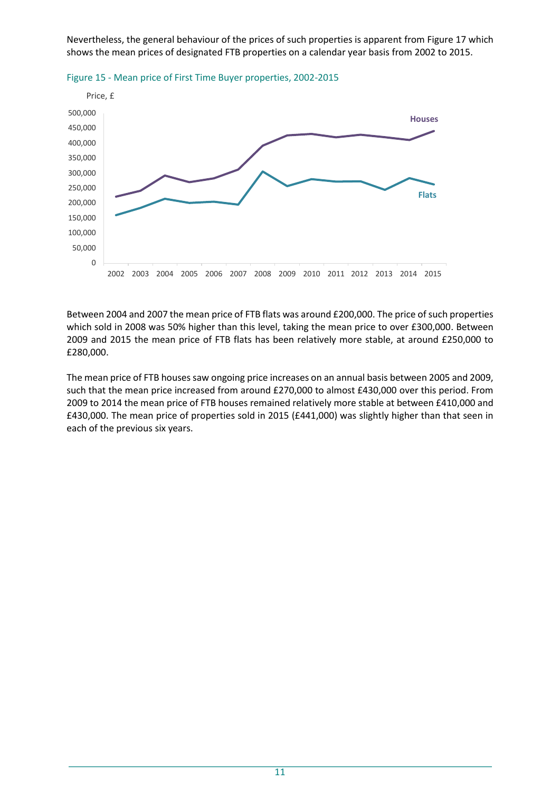Nevertheless, the general behaviour of the prices of such properties is apparent from Figure 17 which shows the mean prices of designated FTB properties on a calendar year basis from 2002 to 2015.





Between 2004 and 2007 the mean price of FTB flats was around £200,000. The price of such properties which sold in 2008 was 50% higher than this level, taking the mean price to over £300,000. Between 2009 and 2015 the mean price of FTB flats has been relatively more stable, at around £250,000 to £280,000.

The mean price of FTB houses saw ongoing price increases on an annual basis between 2005 and 2009, such that the mean price increased from around £270,000 to almost £430,000 over this period. From 2009 to 2014 the mean price of FTB houses remained relatively more stable at between £410,000 and £430,000. The mean price of properties sold in 2015 (£441,000) was slightly higher than that seen in each of the previous six years.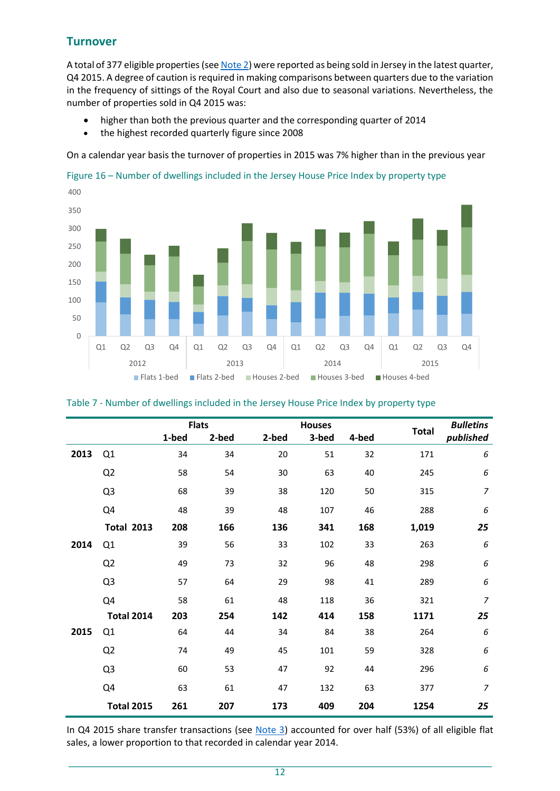# **Turnover**

A total of 377 eligible properties (see [Note 2\)](#page-17-0) were reported as being sold in Jersey in the latest quarter, Q4 2015. A degree of caution is required in making comparisons between quarters due to the variation in the frequency of sittings of the Royal Court and also due to seasonal variations. Nevertheless, the number of properties sold in Q4 2015 was:

- higher than both the previous quarter and the corresponding quarter of 2014
- the highest recorded quarterly figure since 2008

On a calendar year basis the turnover of properties in 2015 was 7% higher than in the previous year





|      |                   |       | <b>Flats</b> |       | <b>Houses</b> |       |              | <b>Bulletins</b> |
|------|-------------------|-------|--------------|-------|---------------|-------|--------------|------------------|
|      |                   | 1-bed | 2-bed        | 2-bed | 3-bed         | 4-bed | <b>Total</b> | published        |
| 2013 | Q1                | 34    | 34           | 20    | 51            | 32    | 171          | 6                |
|      | Q <sub>2</sub>    | 58    | 54           | 30    | 63            | 40    | 245          | 6                |
|      | Q <sub>3</sub>    | 68    | 39           | 38    | 120           | 50    | 315          | $\overline{7}$   |
|      | Q4                | 48    | 39           | 48    | 107           | 46    | 288          | 6                |
|      | <b>Total 2013</b> | 208   | 166          | 136   | 341           | 168   | 1,019        | 25               |
| 2014 | Q1                | 39    | 56           | 33    | 102           | 33    | 263          | 6                |
|      | Q <sub>2</sub>    | 49    | 73           | 32    | 96            | 48    | 298          | 6                |
|      | Q <sub>3</sub>    | 57    | 64           | 29    | 98            | 41    | 289          | 6                |
|      | Q4                | 58    | 61           | 48    | 118           | 36    | 321          | $\overline{7}$   |
|      | <b>Total 2014</b> | 203   | 254          | 142   | 414           | 158   | 1171         | 25               |
| 2015 | Q <sub>1</sub>    | 64    | 44           | 34    | 84            | 38    | 264          | 6                |
|      | Q <sub>2</sub>    | 74    | 49           | 45    | 101           | 59    | 328          | 6                |
|      | Q <sub>3</sub>    | 60    | 53           | 47    | 92            | 44    | 296          | 6                |
|      | Q4                | 63    | 61           | 47    | 132           | 63    | 377          | $\overline{7}$   |
|      | <b>Total 2015</b> | 261   | 207          | 173   | 409           | 204   | 1254         | 25               |

In Q4 2015 share transfer transactions (see [Note 3\)](#page-17-1) accounted for over half (53%) of all eligible flat sales, a lower proportion to that recorded in calendar year 2014.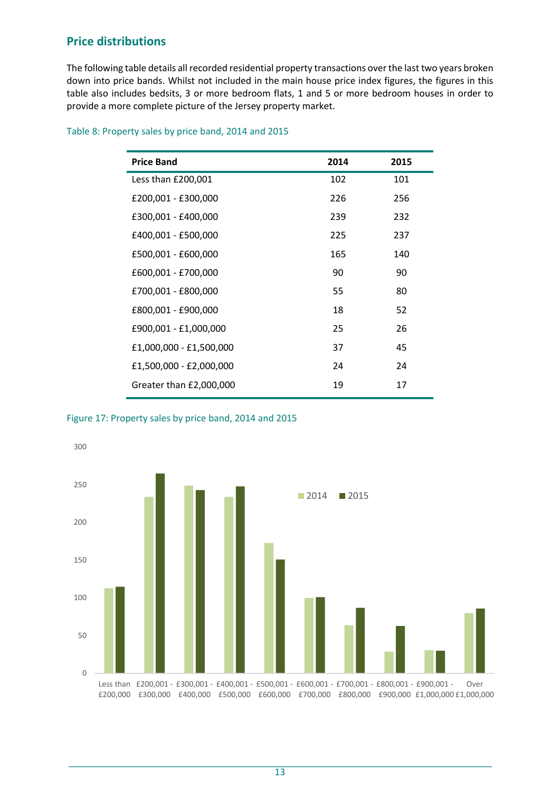# **Price distributions**

The following table details all recorded residential property transactions over the last two years broken down into price bands. Whilst not included in the main house price index figures, the figures in this table also includes bedsits, 3 or more bedroom flats, 1 and 5 or more bedroom houses in order to provide a more complete picture of the Jersey property market.

|  |  | Table 8: Property sales by price band, 2014 and 2015 |
|--|--|------------------------------------------------------|
|--|--|------------------------------------------------------|

| <b>Price Band</b>       | 2014 | 2015 |
|-------------------------|------|------|
| Less than £200,001      | 102  | 101  |
| £200,001 - £300,000     | 226  | 256  |
| £300,001 - £400,000     | 239  | 232  |
| £400,001 - £500,000     | 225  | 237  |
| £500,001 - £600,000     | 165  | 140  |
| £600,001 - £700,000     | 90   | 90   |
| £700,001 - £800,000     | 55   | 80   |
| £800,001 - £900,000     | 18   | 52   |
| £900,001 - £1,000,000   | 25   | 26   |
| £1,000,000 - £1,500,000 | 37   | 45   |
| £1,500,000 - £2,000,000 | 24   | 24   |
| Greater than £2,000,000 | 19   | 17   |

Figure 17: Property sales by price band, 2014 and 2015

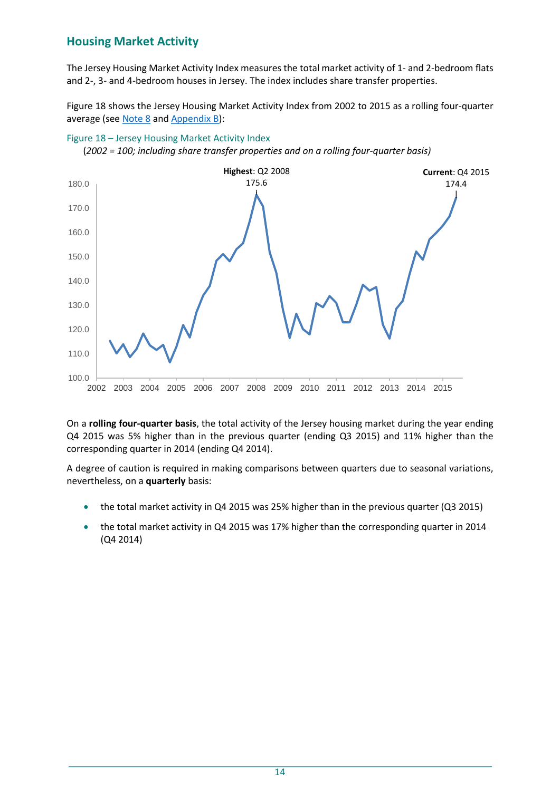# **Housing Market Activity**

The Jersey Housing Market Activity Index measures the total market activity of 1- and 2-bedroom flats and 2-, 3- and 4-bedroom houses in Jersey. The index includes share transfer properties.

Figure 18 shows the Jersey Housing Market Activity Index from 2002 to 2015 as a rolling four-quarter average (see [Note 8](#page-18-1) and Appendix B):



Figure 18 – Jersey Housing Market Activity Index

(*2002 = 100; including share transfer properties and on a rolling four-quarter basis)*

On a **rolling four-quarter basis**, the total activity of the Jersey housing market during the year ending Q4 2015 was 5% higher than in the previous quarter (ending Q3 2015) and 11% higher than the corresponding quarter in 2014 (ending Q4 2014).

A degree of caution is required in making comparisons between quarters due to seasonal variations, nevertheless, on a **quarterly** basis:

- the total market activity in Q4 2015 was 25% higher than in the previous quarter (Q3 2015)
- the total market activity in Q4 2015 was 17% higher than the corresponding quarter in 2014 (Q4 2014)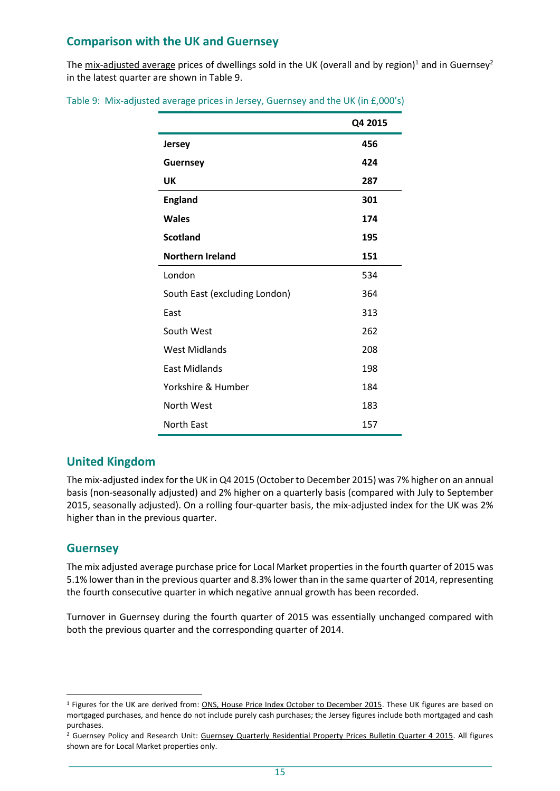# **Comparison with the UK and Guernsey**

The mix-adjusted average prices of dwellings sold in the UK (overall and by region)<sup>1</sup> and in Guernsey<sup>2</sup> in the latest quarter are shown in Table 9.

|  |  |  |  |  |  | Table 9: Mix-adjusted average prices in Jersey, Guernsey and the UK (in £,000's) |
|--|--|--|--|--|--|----------------------------------------------------------------------------------|
|--|--|--|--|--|--|----------------------------------------------------------------------------------|

|                               | Q4 2015 |
|-------------------------------|---------|
| <b>Jersey</b>                 | 456     |
| <b>Guernsey</b>               | 424     |
| UK                            | 287     |
| <b>England</b>                | 301     |
| <b>Wales</b>                  | 174     |
| <b>Scotland</b>               | 195     |
| <b>Northern Ireland</b>       | 151     |
| London                        | 534     |
| South East (excluding London) | 364     |
| East                          | 313     |
| South West                    | 262     |
| <b>West Midlands</b>          | 208     |
| <b>East Midlands</b>          | 198     |
| Yorkshire & Humber            | 184     |
| North West                    | 183     |
| <b>North East</b>             | 157     |

### **United Kingdom**

The mix-adjusted index for the UK in Q4 2015 (October to December 2015) was 7% higher on an annual basis (non-seasonally adjusted) and 2% higher on a quarterly basis (compared with July to September 2015, seasonally adjusted). On a rolling four-quarter basis, the mix-adjusted index for the UK was 2% higher than in the previous quarter.

### **Guernsey**

l

The mix adjusted average purchase price for Local Market properties in the fourth quarter of 2015 was 5.1% lowerthan in the previous quarter and 8.3% lower than in the same quarter of 2014, representing the fourth consecutive quarter in which negative annual growth has been recorded.

Turnover in Guernsey during the fourth quarter of 2015 was essentially unchanged compared with both the previous quarter and the corresponding quarter of 2014.

<sup>1</sup> Figures for the UK are derived from: [ONS, House Price Index October to December 2015.](http://www.ons.gov.uk/ons/rel/hpi/house-price-index/december-2015/index.html) These UK figures are based on mortgaged purchases, and hence do not include purely cash purchases; the Jersey figures include both mortgaged and cash purchases.

<sup>&</sup>lt;sup>2</sup> Guernsey Policy and Research Unit: [Guernsey Quarterly Residential Property Prices Bulletin Quarter 4 2015.](http://www.gov.gg/CHttpHandler.ashx?id=100422&p=0) All figures shown are for Local Market properties only.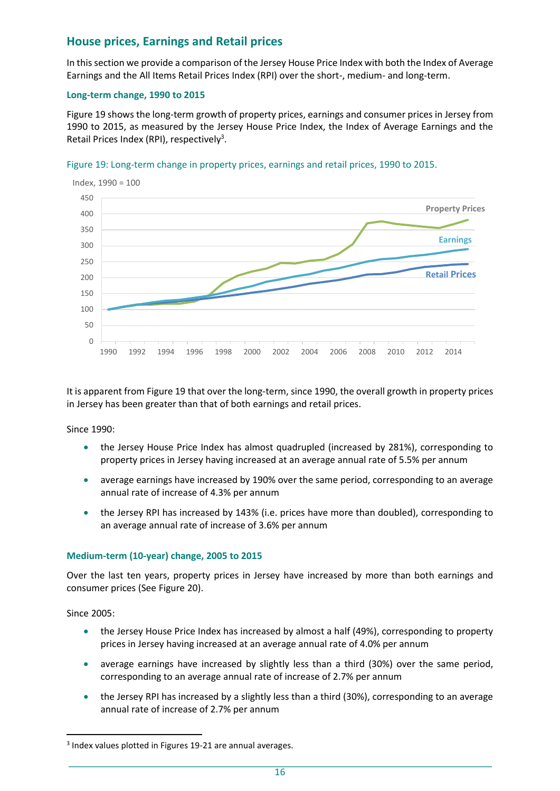# **House prices, Earnings and Retail prices**

In this section we provide a comparison of the Jersey House Price Index with both the Index of Average Earnings and the All Items Retail Prices Index (RPI) over the short-, medium- and long-term.

#### **Long-term change, 1990 to 2015**

Figure 19 shows the long-term growth of property prices, earnings and consumer prices in Jersey from 1990 to 2015, as measured by the Jersey House Price Index, the Index of Average Earnings and the Retail Prices Index (RPI), respectively<sup>3</sup>.





It is apparent from Figure 19 that over the long-term, since 1990, the overall growth in property prices in Jersey has been greater than that of both earnings and retail prices.

Since 1990:

- the Jersey House Price Index has almost quadrupled (increased by 281%), corresponding to property prices in Jersey having increased at an average annual rate of 5.5% per annum
- average earnings have increased by 190% over the same period, corresponding to an average annual rate of increase of 4.3% per annum
- the Jersey RPI has increased by 143% (i.e. prices have more than doubled), corresponding to an average annual rate of increase of 3.6% per annum

### **Medium-term (10-year) change, 2005 to 2015**

Over the last ten years, property prices in Jersey have increased by more than both earnings and consumer prices (See Figure 20).

Since 2005:

l

- the Jersey House Price Index has increased by almost a half (49%), corresponding to property prices in Jersey having increased at an average annual rate of 4.0% per annum
- average earnings have increased by slightly less than a third (30%) over the same period, corresponding to an average annual rate of increase of 2.7% per annum
- the Jersey RPI has increased by a slightly less than a third (30%), corresponding to an average annual rate of increase of 2.7% per annum

 $3$  Index values plotted in Figures 19-21 are annual averages.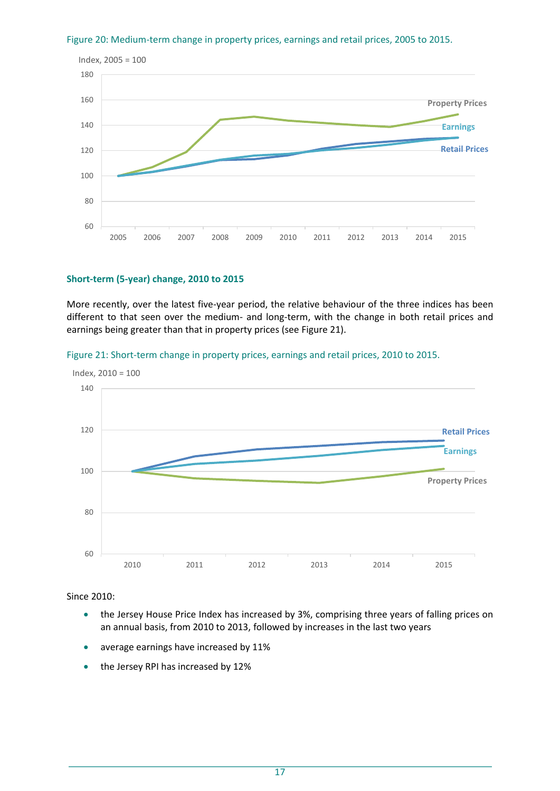

#### Figure 20: Medium-term change in property prices, earnings and retail prices, 2005 to 2015.

#### **Short-term (5-year) change, 2010 to 2015**

More recently, over the latest five-year period, the relative behaviour of the three indices has been different to that seen over the medium- and long-term, with the change in both retail prices and earnings being greater than that in property prices (see Figure 21).





#### Since 2010:

- the Jersey House Price Index has increased by 3%, comprising three years of falling prices on an annual basis, from 2010 to 2013, followed by increases in the last two years
- average earnings have increased by 11%
- the Jersey RPI has increased by 12%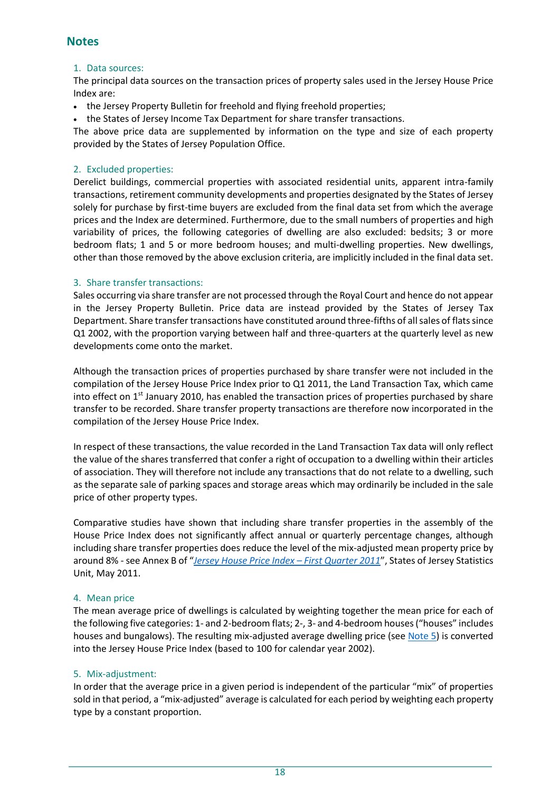### **Notes**

#### 1. Data sources:

The principal data sources on the transaction prices of property sales used in the Jersey House Price Index are:

- the Jersey Property Bulletin for freehold and flying freehold properties;
- the States of Jersey Income Tax Department for share transfer transactions.

The above price data are supplemented by information on the type and size of each property provided by the States of Jersey Population Office.

#### <span id="page-17-0"></span>2. Excluded properties:

Derelict buildings, commercial properties with associated residential units, apparent intra-family transactions, retirement community developments and properties designated by the States of Jersey solely for purchase by first-time buyers are excluded from the final data set from which the average prices and the Index are determined. Furthermore, due to the small numbers of properties and high variability of prices, the following categories of dwelling are also excluded: bedsits; 3 or more bedroom flats; 1 and 5 or more bedroom houses; and multi-dwelling properties. New dwellings, other than those removed by the above exclusion criteria, are implicitly included in the final data set.

#### <span id="page-17-1"></span>3. Share transfer transactions:

Sales occurring via share transfer are not processed through the Royal Court and hence do not appear in the Jersey Property Bulletin. Price data are instead provided by the States of Jersey Tax Department. Share transfer transactions have constituted around three-fifths of all sales of flats since Q1 2002, with the proportion varying between half and three-quarters at the quarterly level as new developments come onto the market.

Although the transaction prices of properties purchased by share transfer were not included in the compilation of the Jersey House Price Index prior to Q1 2011, the Land Transaction Tax, which came into effect on  $1<sup>st</sup>$  January 2010, has enabled the transaction prices of properties purchased by share transfer to be recorded. Share transfer property transactions are therefore now incorporated in the compilation of the Jersey House Price Index.

In respect of these transactions, the value recorded in the Land Transaction Tax data will only reflect the value of the shares transferred that confer a right of occupation to a dwelling within their articles of association. They will therefore not include any transactions that do not relate to a dwelling, such as the separate sale of parking spaces and storage areas which may ordinarily be included in the sale price of other property types.

Comparative studies have shown that including share transfer properties in the assembly of the House Price Index does not significantly affect annual or quarterly percentage changes, although including share transfer properties does reduce the level of the mix-adjusted mean property price by around 8% - see Annex B of "*[Jersey House Price Index](http://www.gov.je/SiteCollectionDocuments/Government%20and%20administration/R%20HousePriceIndexQ12011%2020110519%20SU.pdf) – First Quarter 2011*", States of Jersey Statistics Unit, May 2011.

### 4. Mean price

The mean average price of dwellings is calculated by weighting together the mean price for each of the following five categories: 1- and 2-bedroom flats; 2-, 3- and 4-bedroom houses ("houses" includes houses and bungalows). The resulting mix-adjusted average dwelling price (se[e Note 5\)](#page-17-2) is converted into the Jersey House Price Index (based to 100 for calendar year 2002).

### <span id="page-17-2"></span>5. Mix-adjustment:

In order that the average price in a given period is independent of the particular "mix" of properties sold in that period, a "mix-adjusted" average is calculated for each period by weighting each property type by a constant proportion.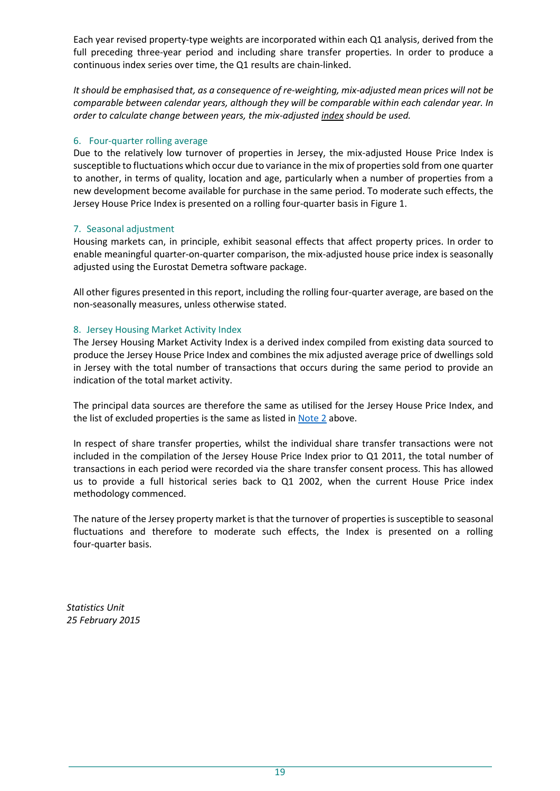Each year revised property-type weights are incorporated within each Q1 analysis, derived from the full preceding three-year period and including share transfer properties. In order to produce a continuous index series over time, the Q1 results are chain-linked.

*It should be emphasised that, as a consequence of re-weighting, mix-adjusted mean prices will not be comparable between calendar years, although they will be comparable within each calendar year. In order to calculate change between years, the mix-adjusted index should be used.*

#### <span id="page-18-0"></span>6. Four-quarter rolling average

Due to the relatively low turnover of properties in Jersey, the mix-adjusted House Price Index is susceptible to fluctuations which occur due to variance in the mix of properties sold from one quarter to another, in terms of quality, location and age, particularly when a number of properties from a new development become available for purchase in the same period. To moderate such effects, the Jersey House Price Index is presented on a rolling four-quarter basis in Figure 1.

### 7. Seasonal adjustment

Housing markets can, in principle, exhibit seasonal effects that affect property prices. In order to enable meaningful quarter-on-quarter comparison, the mix-adjusted house price index is seasonally adjusted using the Eurostat Demetra software package.

All other figures presented in this report, including the rolling four-quarter average, are based on the non-seasonally measures, unless otherwise stated.

### <span id="page-18-1"></span>8. Jersey Housing Market Activity Index

The Jersey Housing Market Activity Index is a derived index compiled from existing data sourced to produce the Jersey House Price Index and combines the mix adjusted average price of dwellings sold in Jersey with the total number of transactions that occurs during the same period to provide an indication of the total market activity.

The principal data sources are therefore the same as utilised for the Jersey House Price Index, and the list of excluded properties is the same as listed in [Note 2](#page-17-0) above.

In respect of share transfer properties, whilst the individual share transfer transactions were not included in the compilation of the Jersey House Price Index prior to Q1 2011, the total number of transactions in each period were recorded via the share transfer consent process. This has allowed us to provide a full historical series back to Q1 2002, when the current House Price index methodology commenced.

The nature of the Jersey property market is that the turnover of properties is susceptible to seasonal fluctuations and therefore to moderate such effects, the Index is presented on a rolling four-quarter basis.

*Statistics Unit 25 February 2015*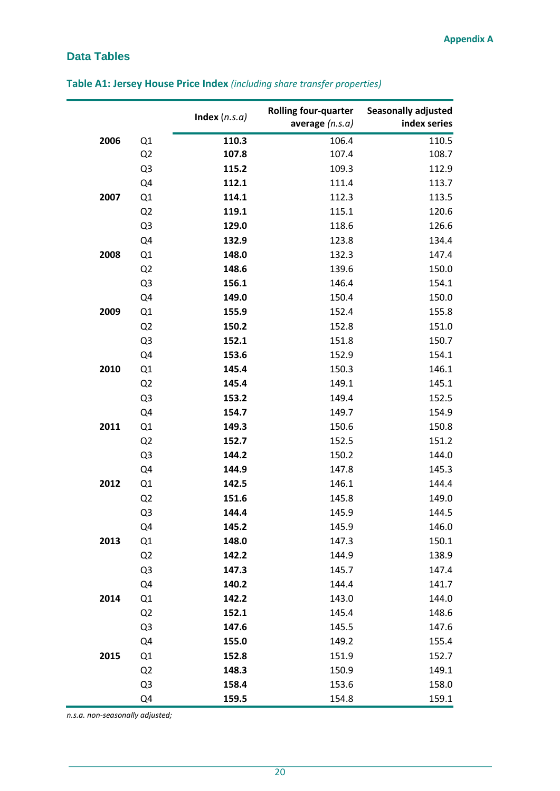# <span id="page-19-0"></span>**Data Tables**

|      |                | Index $(n.s.a)$ | <b>Rolling four-quarter</b><br>average $(n.s.a)$ | <b>Seasonally adjusted</b><br>index series |
|------|----------------|-----------------|--------------------------------------------------|--------------------------------------------|
| 2006 | Q1             | 110.3           | 106.4                                            | 110.5                                      |
|      | Q2             | 107.8           | 107.4                                            | 108.7                                      |
|      | Q <sub>3</sub> | 115.2           | 109.3                                            | 112.9                                      |
|      | Q4             | 112.1           | 111.4                                            | 113.7                                      |
| 2007 | Q1             | 114.1           | 112.3                                            | 113.5                                      |
|      | Q2             | 119.1           | 115.1                                            | 120.6                                      |
|      | Q <sub>3</sub> | 129.0           | 118.6                                            | 126.6                                      |
|      | Q <sub>4</sub> | 132.9           | 123.8                                            | 134.4                                      |
| 2008 | Q1             | 148.0           | 132.3                                            | 147.4                                      |
|      | Q2             | 148.6           | 139.6                                            | 150.0                                      |
|      | Q <sub>3</sub> | 156.1           | 146.4                                            | 154.1                                      |
|      | Q4             | 149.0           | 150.4                                            | 150.0                                      |
| 2009 | Q1             | 155.9           | 152.4                                            | 155.8                                      |
|      | Q <sub>2</sub> | 150.2           | 152.8                                            | 151.0                                      |
|      | Q <sub>3</sub> | 152.1           | 151.8                                            | 150.7                                      |
|      | Q <sub>4</sub> | 153.6           | 152.9                                            | 154.1                                      |
| 2010 | Q1             | 145.4           | 150.3                                            | 146.1                                      |
|      | Q2             | 145.4           | 149.1                                            | 145.1                                      |
|      | Q <sub>3</sub> | 153.2           | 149.4                                            | 152.5                                      |
|      | Q4             | 154.7           | 149.7                                            | 154.9                                      |
| 2011 | Q1             | 149.3           | 150.6                                            | 150.8                                      |
|      | Q2             | 152.7           | 152.5                                            | 151.2                                      |
|      | Q <sub>3</sub> | 144.2           | 150.2                                            | 144.0                                      |
|      | Q4             | 144.9           | 147.8                                            | 145.3                                      |
| 2012 | Q1             | 142.5           | 146.1                                            | 144.4                                      |
|      | Q2             | 151.6           | 145.8                                            | 149.0                                      |
|      | Q <sub>3</sub> | 144.4           | 145.9                                            | 144.5                                      |
|      | Q <sub>4</sub> | 145.2           | 145.9                                            | 146.0                                      |
| 2013 | Q1             | 148.0           | 147.3                                            | 150.1                                      |
|      | Q2             | 142.2           | 144.9                                            | 138.9                                      |
|      | Q <sub>3</sub> | 147.3           | 145.7                                            | 147.4                                      |
|      | Q4             | 140.2           | 144.4                                            | 141.7                                      |
| 2014 | Q1             | 142.2           | 143.0                                            | 144.0                                      |
|      | Q2             | 152.1           | 145.4                                            | 148.6                                      |
|      | Q <sub>3</sub> | 147.6           | 145.5                                            | 147.6                                      |
|      | Q4             | 155.0           | 149.2                                            | 155.4                                      |
| 2015 | Q1             | 152.8           | 151.9                                            | 152.7                                      |
|      | Q <sub>2</sub> | 148.3           | 150.9                                            | 149.1                                      |
|      | Q <sub>3</sub> | 158.4           | 153.6                                            | 158.0                                      |
|      | Q4             | 159.5           | 154.8                                            | 159.1                                      |

# **Table A1: Jersey House Price Index** *(including share transfer properties)*

*n.s.a. non-seasonally adjusted;*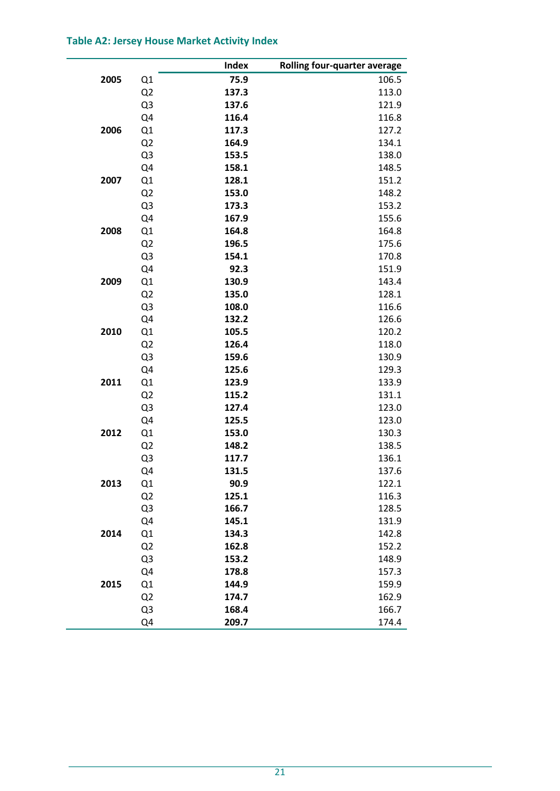### **Table A2: Jersey House Market Activity Index**

|      |                | <b>Index</b> | Rolling four-quarter average |
|------|----------------|--------------|------------------------------|
| 2005 | Q1             | 75.9         | 106.5                        |
|      | Q <sub>2</sub> | 137.3        | 113.0                        |
|      | Q3             | 137.6        | 121.9                        |
|      | Q4             | 116.4        | 116.8                        |
| 2006 | Q1             | 117.3        | 127.2                        |
|      | Q <sub>2</sub> | 164.9        | 134.1                        |
|      | Q <sub>3</sub> | 153.5        | 138.0                        |
|      | Q4             | 158.1        | 148.5                        |
| 2007 | Q1             | 128.1        | 151.2                        |
|      | Q <sub>2</sub> | 153.0        | 148.2                        |
|      | Q <sub>3</sub> | 173.3        | 153.2                        |
|      | Q4             | 167.9        | 155.6                        |
| 2008 | Q1             | 164.8        | 164.8                        |
|      | Q <sub>2</sub> | 196.5        | 175.6                        |
|      | Q <sub>3</sub> | 154.1        | 170.8                        |
|      | Q4             | 92.3         | 151.9                        |
| 2009 | Q1             | 130.9        | 143.4                        |
|      | Q <sub>2</sub> | 135.0        | 128.1                        |
|      | Q3             | 108.0        | 116.6                        |
|      | Q4             | 132.2        | 126.6                        |
| 2010 | Q1             | 105.5        | 120.2                        |
|      | Q <sub>2</sub> | 126.4        | 118.0                        |
|      | Q <sub>3</sub> | 159.6        | 130.9                        |
|      | Q4             | 125.6        | 129.3                        |
| 2011 | Q1             | 123.9        | 133.9                        |
|      | Q <sub>2</sub> | 115.2        | 131.1                        |
|      | Q <sub>3</sub> | 127.4        | 123.0                        |
|      | Q4             | 125.5        | 123.0                        |
| 2012 | Q1             | 153.0        | 130.3                        |
|      | Q <sub>2</sub> | 148.2        | 138.5                        |
|      | Q3             | 117.7        | 136.1                        |
|      | Q4             | 131.5        | 137.6                        |
| 2013 | Q1             | 90.9         | 122.1                        |
|      | Q <sub>2</sub> | 125.1        | 116.3                        |
|      | Q3             | 166.7        | 128.5                        |
|      | Q4             | 145.1        | 131.9                        |
| 2014 | Q1             | 134.3        | 142.8                        |
|      | Q <sub>2</sub> | 162.8        | 152.2                        |
|      | Q3             | 153.2        | 148.9                        |
|      | Q4             | 178.8        | 157.3                        |
| 2015 | Q1             | 144.9        | 159.9                        |
|      | Q <sub>2</sub> | 174.7        | 162.9                        |
|      | Q <sub>3</sub> | 168.4        | 166.7                        |
|      | Q4             | 209.7        | 174.4                        |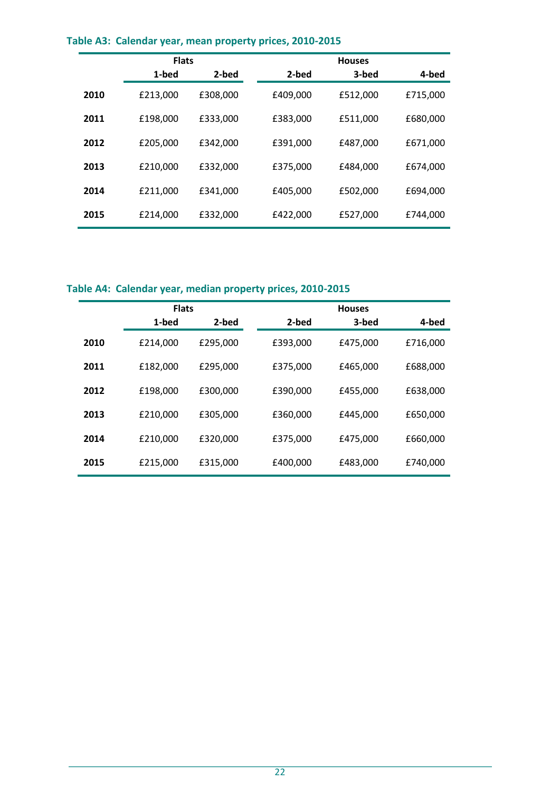|      | <b>Flats</b> |          | <b>Houses</b> |          |          |  |
|------|--------------|----------|---------------|----------|----------|--|
|      | 1-bed        | 2-bed    | 2-bed         | 3-bed    | 4-bed    |  |
| 2010 | £213,000     | £308,000 | £409,000      | £512,000 | £715,000 |  |
| 2011 | £198,000     | £333,000 | £383,000      | £511.000 | £680,000 |  |
| 2012 | £205,000     | £342.000 | £391,000      | £487,000 | £671,000 |  |
| 2013 | £210,000     | £332.000 | £375,000      | £484.000 | £674.000 |  |
| 2014 | £211,000     | £341,000 | £405,000      | £502,000 | £694,000 |  |
| 2015 | £214,000     | £332,000 | £422,000      | £527,000 | £744,000 |  |

### **Table A3: Calendar year, mean property prices, 2010-2015**

# **Table A4: Calendar year, median property prices, 2010-2015**

|      | <b>Flats</b> |          |  | <b>Houses</b> |          |          |  |
|------|--------------|----------|--|---------------|----------|----------|--|
|      | 1-bed        | 2-bed    |  | 2-bed         | 3-bed    | 4-bed    |  |
| 2010 | £214,000     | £295,000 |  | £393,000      | £475,000 | £716,000 |  |
| 2011 | £182,000     | £295.000 |  | £375,000      | £465,000 | £688,000 |  |
| 2012 | £198,000     | £300,000 |  | £390,000      | £455,000 | £638,000 |  |
| 2013 | £210,000     | £305,000 |  | £360,000      | £445,000 | £650,000 |  |
| 2014 | £210,000     | £320,000 |  | £375,000      | £475,000 | £660,000 |  |
| 2015 | £215,000     | £315,000 |  | £400,000      | £483,000 | £740,000 |  |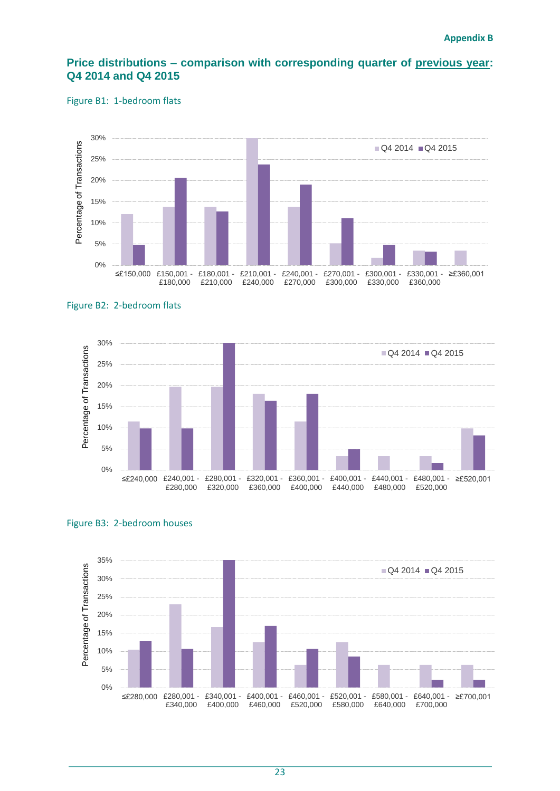### **Price distributions – comparison with corresponding quarter of previous year: Q4 2014 and Q4 2015**

#### Figure B1: 1-bedroom flats









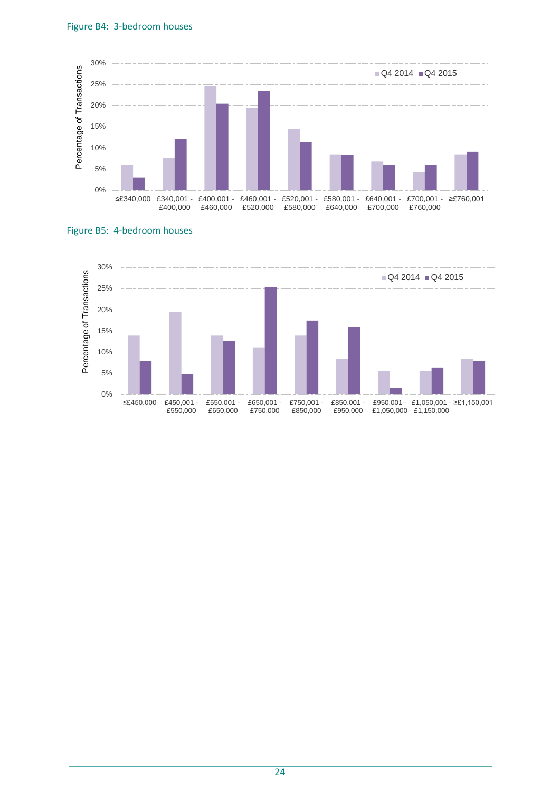